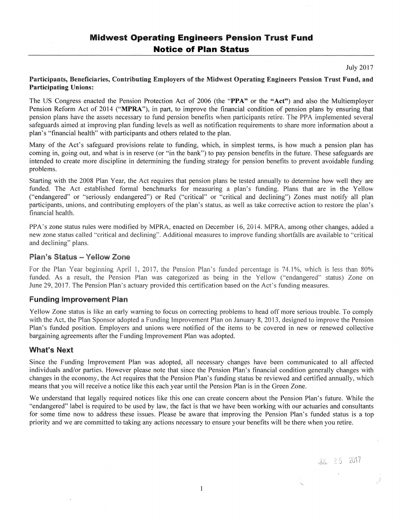# Midwest Operating Engineers Pension Trust Fund **Notice of Plan Status**

July 2017

**JUL** 25 2017

#### Participants, Beneficiaries, Contributing Employers of the Midwest Operating Engineers Pension Trust Fund, and Participating Unions:

The US Congress enacted the Pension Protection Act of 2006 (the "PPA" or the "Act") and also the Multiemployer Pension Reform Act of 2014 ("MPRA"), in part, to improve the financial condition of pension plans by ensuring that pension plans have the assets necessary to fund pension benefits when participants retire. The PPA implemented several safeguards aimed at improving plan funding levels as well as notification requirements to share more information about a plan's "financial health" with participants and others related to the plan.

Many of the Act's safeguard provisions relate to funding, which, in simplest terms, is how much a pension plan has coming in, going out, and what is in reserve (or "in the bank") to pay pension benefits in the future. These safeguards are intended to create more discipline in determining the funding strategy for pension benefits to prevent avoidable funding problems.

Starting with the 2008 Plan Year, the Act requires that pension plans be tested annually to determine how well they are funded. The Act established formal benchmarks for measuring a plan's funding. Plans that are in the Yellow ("endangered" or "seriously endangered") or Red ("critical" or "critical and declining") Zones must notify all plan participants, unions, and contributing employers of the plan's status, as well as take corrective action to restore the plan's financial health.

PPA's zone status rules were modified by MPRA, enacted on December 16, 2014. MPRA, among other changes, added a new zone status called "'critical and declining". Additional measures to improve funding shortfalls are available to "critical and deciining" pians.

### Plan's Status - Yellow Zone

For the Plan Year beginning April 1, 2017, the Pension Plan's funded percentage is 74.1%, which is less than 80% funded. As a result, the Pension Plan was categorized as being in the Yellow ("endangered" status) Zone on June 29, 2017. The Pension Plan's actuary provided this certification based on the Act's funding measures.

## Funding Improvement Plan

Yellow Zone status is like an early warning to focus on correcting problems to head off more serious trouble. To comply with the Act, the Plan Sponsor adopted a Funding Improvement Plan on January 8, 2013, designed to improve the Pension Plan's funded position. Employers and unions were notified of the items to be covered in new or renewed collective bargaining agreements after the Funding Improvement Plan was adopted.

## What's Next

Since the Funding Improvement Plan was adopted, all necessary changes have been communicated to all affected individuals and/or parties. However please note that since the Pension Plan's financial condition generally changes with changes in the economy, the Act requires that the Pension Plan's funding status be reviewed and certified annually, which means that you will receive a notice like this each year until the Pension Plan is in the Green Zone.

We understand that legally required notices like this one can create concern about the Pension Plan's future. While the "endangered" label is required to be used by law, the fact is that we have been working with our actuaries and consultants for some time now to address these issues. Please be aware that improving the Pension Plan's funded status is a top priority and we are committed to taking any actions necessary to ensure your benefits will be there when you retire.

 $\mathbf{1}$